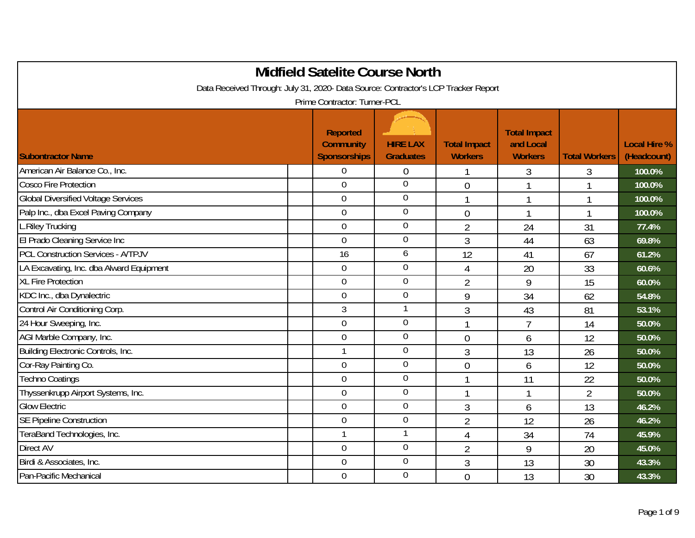|                                                                                    | <b>Midfield Satelite Course North</b>                      |                                     |                                       |                                                    |                          |                                    |
|------------------------------------------------------------------------------------|------------------------------------------------------------|-------------------------------------|---------------------------------------|----------------------------------------------------|--------------------------|------------------------------------|
| Data Received Through: July 31, 2020- Data Source: Contractor's LCP Tracker Report |                                                            |                                     |                                       |                                                    |                          |                                    |
|                                                                                    | Prime Contractor: Turner-PCL                               |                                     |                                       |                                                    |                          |                                    |
| <b>Subontractor Name</b>                                                           | <b>Reported</b><br><b>Community</b><br><b>Sponsorships</b> | <b>HIRE LAX</b><br><b>Graduates</b> | <b>Total Impact</b><br><b>Workers</b> | <b>Total Impact</b><br>and Local<br><b>Workers</b> | <b>Total Workers</b>     | <b>Local Hire %</b><br>(Headcount) |
| American Air Balance Co., Inc.                                                     | 0                                                          | 0                                   |                                       | 3                                                  | 3                        | 100.0%                             |
| <b>Cosco Fire Protection</b>                                                       | $\overline{0}$                                             | $\mathbf 0$                         | $\overline{0}$                        |                                                    | $\overline{\phantom{a}}$ | 100.0%                             |
| <b>Global Diversified Voltage Services</b>                                         | $\overline{0}$                                             | $\mathbf 0$                         |                                       |                                                    | $\mathbf 1$              | 100.0%                             |
| Palp Inc., dba Excel Paving Company                                                | $\overline{0}$                                             | $\mathbf 0$                         | $\overline{0}$                        | 1                                                  | $\mathbf{1}$             | 100.0%                             |
| L.Riley Trucking                                                                   | $\mathbf 0$                                                | $\overline{0}$                      | $\overline{2}$                        | 24                                                 | 31                       | 77.4%                              |
| El Prado Cleaning Service Inc                                                      | $\overline{0}$                                             | $\mathbf 0$                         | 3                                     | 44                                                 | 63                       | 69.8%                              |
| <b>PCL Construction Services - A/TPJV</b>                                          | 16                                                         | 6                                   | 12                                    | 41                                                 | 67                       | 61.2%                              |
| LA Excavating, Inc. dba Alward Equipment                                           | $\boldsymbol{0}$                                           | $\mathbf 0$                         | $\overline{4}$                        | 20                                                 | 33                       | 60.6%                              |
| <b>XL Fire Protection</b>                                                          | $\overline{0}$                                             | $\overline{0}$                      | $\overline{2}$                        | 9                                                  | 15                       | 60.0%                              |
| KDC Inc., dba Dynalectric                                                          | $\overline{0}$                                             | $\mathbf 0$                         | 9                                     | 34                                                 | 62                       | 54.8%                              |
| Control Air Conditioning Corp.                                                     | $\mathfrak{Z}$                                             | 1                                   | 3                                     | 43                                                 | 81                       | 53.1%                              |
| 24 Hour Sweeping, Inc.                                                             | $\mathbf 0$                                                | $\mathbf 0$                         |                                       | $\overline{7}$                                     | 14                       | 50.0%                              |
| AGI Marble Company, Inc.                                                           | $\mathbf 0$                                                | $\overline{0}$                      | $\mathbf 0$                           | 6                                                  | 12                       | 50.0%                              |
| Building Electronic Controls, Inc.                                                 | $\mathbf{1}$                                               | $\overline{0}$                      | 3                                     | 13                                                 | 26                       | 50.0%                              |
| Cor-Ray Painting Co.                                                               | $\mathbf 0$                                                | $\boldsymbol{0}$                    | $\overline{0}$                        | 6                                                  | 12                       | 50.0%                              |
| <b>Techno Coatings</b>                                                             | $\mathbf 0$                                                | $\overline{0}$                      | $\mathbf{1}$                          | 11                                                 | 22                       | 50.0%                              |
| Thyssenkrupp Airport Systems, Inc.                                                 | $\mathbf 0$                                                | $\mathbf 0$                         | $\mathbf{1}$                          | $\mathbf{1}$                                       | $\overline{2}$           | 50.0%                              |
| <b>Glow Electric</b>                                                               | $\overline{0}$                                             | $\overline{0}$                      | 3                                     | 6                                                  | 13                       | 46.2%                              |
| <b>SE Pipeline Construction</b>                                                    | $\overline{0}$                                             | $\mathbf 0$                         | $\overline{2}$                        | 12                                                 | 26                       | 46.2%                              |
| TeraBand Technologies, Inc.                                                        | $\mathbf{1}$                                               | $\mathbf{1}$                        | $\overline{4}$                        | 34                                                 | 74                       | 45.9%                              |
| Direct AV                                                                          | $\mathbf 0$                                                | $\mathbf 0$                         | $\overline{2}$                        | 9                                                  | 20                       | 45.0%                              |
| Birdi & Associates, Inc.                                                           | $\mathbf 0$                                                | $\mathbf 0$                         | 3                                     | 13                                                 | 30                       | 43.3%                              |
| Pan-Pacific Mechanical                                                             | $\mathbf 0$                                                | $\mathbf 0$                         | $\overline{0}$                        | 13                                                 | 30                       | 43.3%                              |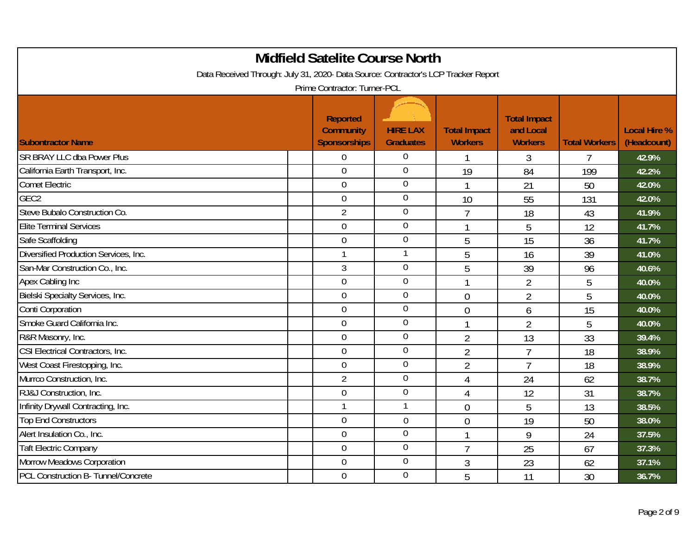| <b>Midfield Satelite Course North</b><br>Data Received Through: July 31, 2020- Data Source: Contractor's LCP Tracker Report<br>Prime Contractor: Turner-PCL |  |                                                     |                                     |                                       |                                                    |                      |                                    |  |  |  |  |
|-------------------------------------------------------------------------------------------------------------------------------------------------------------|--|-----------------------------------------------------|-------------------------------------|---------------------------------------|----------------------------------------------------|----------------------|------------------------------------|--|--|--|--|
| <b>Subontractor Name</b>                                                                                                                                    |  | Reported<br><b>Community</b><br><b>Sponsorships</b> | <b>HIRE LAX</b><br><b>Graduates</b> | <b>Total Impact</b><br><b>Workers</b> | <b>Total Impact</b><br>and Local<br><b>Workers</b> | <b>Total Workers</b> | <b>Local Hire %</b><br>(Headcount) |  |  |  |  |
| <b>SR BRAY LLC dba Power Plus</b>                                                                                                                           |  | $\overline{0}$                                      | $\Omega$                            |                                       | 3                                                  | 7                    | 42.9%                              |  |  |  |  |
| California Earth Transport, Inc.                                                                                                                            |  | $\overline{0}$                                      | $\overline{0}$                      | 19                                    | 84                                                 | 199                  | 42.2%                              |  |  |  |  |
| <b>Comet Electric</b>                                                                                                                                       |  | $\overline{0}$                                      | $\mathbf 0$                         | $\mathbf{1}$                          | 21                                                 | 50                   | 42.0%                              |  |  |  |  |
| GEC <sub>2</sub>                                                                                                                                            |  | $\mathbf 0$                                         | $\boldsymbol{0}$                    | 10                                    | 55                                                 | 131                  | 42.0%                              |  |  |  |  |
| Steve Bubalo Construction Co.                                                                                                                               |  | $\overline{2}$                                      | $\overline{0}$                      | $\overline{7}$                        | 18                                                 | 43                   | 41.9%                              |  |  |  |  |
| <b>Elite Terminal Services</b>                                                                                                                              |  | $\overline{0}$                                      | $\mathbf 0$                         | $\mathbf{1}$                          | 5                                                  | 12                   | 41.7%                              |  |  |  |  |
| Safe Scaffolding                                                                                                                                            |  | $\overline{0}$                                      | $\mathbf 0$                         | 5                                     | 15                                                 | 36                   | 41.7%                              |  |  |  |  |
| Diversified Production Services, Inc.                                                                                                                       |  |                                                     | $\mathbf{1}$                        | 5                                     | 16                                                 | 39                   | 41.0%                              |  |  |  |  |
| San-Mar Construction Co., Inc.                                                                                                                              |  | 3                                                   | $\boldsymbol{0}$                    | 5                                     | 39                                                 | 96                   | 40.6%                              |  |  |  |  |
| Apex Cabling Inc                                                                                                                                            |  | $\overline{0}$                                      | $\mathbf 0$                         | $\mathbf{1}$                          | $\overline{2}$                                     | 5                    | 40.0%                              |  |  |  |  |
| Bielski Specialty Services, Inc.                                                                                                                            |  | $\overline{0}$                                      | $\overline{0}$                      | $\overline{0}$                        | $\overline{2}$                                     | 5                    | 40.0%                              |  |  |  |  |
| Conti Corporation                                                                                                                                           |  | $\mathbf 0$                                         | $\mathbf 0$                         | $\overline{0}$                        | 6                                                  | 15                   | 40.0%                              |  |  |  |  |
| Smoke Guard California Inc.                                                                                                                                 |  | $\mathbf 0$                                         | $\mathbf 0$                         | 1                                     | $\overline{2}$                                     | 5                    | 40.0%                              |  |  |  |  |
| R&R Masonry, Inc.                                                                                                                                           |  | $\overline{0}$                                      | $\mathbf 0$                         | $\overline{2}$                        | 13                                                 | 33                   | 39.4%                              |  |  |  |  |
| CSI Electrical Contractors, Inc.                                                                                                                            |  | $\mathbf 0$                                         | $\overline{0}$                      | $\overline{2}$                        | $\overline{7}$                                     | 18                   | 38.9%                              |  |  |  |  |
| West Coast Firestopping, Inc.                                                                                                                               |  | $\mathbf 0$                                         | $\mathbf 0$                         | $\overline{2}$                        | $\overline{7}$                                     | 18                   | 38.9%                              |  |  |  |  |
| Murrco Construction, Inc.                                                                                                                                   |  | $\overline{2}$                                      | $\overline{0}$                      | $\overline{4}$                        | 24                                                 | 62                   | 38.7%                              |  |  |  |  |
| RJ&J Construction, Inc.                                                                                                                                     |  | $\mathbf 0$                                         | $\mathbf 0$                         | $\overline{4}$                        | 12                                                 | 31                   | 38.7%                              |  |  |  |  |
| Infinity Drywall Contracting, Inc.                                                                                                                          |  |                                                     | $\mathbf{1}$                        | $\overline{0}$                        | 5                                                  | 13                   | 38.5%                              |  |  |  |  |
| <b>Top End Constructors</b>                                                                                                                                 |  | $\overline{0}$                                      | $\mathbf 0$                         | $\overline{0}$                        | 19                                                 | 50                   | 38.0%                              |  |  |  |  |
| Alert Insulation Co., Inc.                                                                                                                                  |  | $\mathbf 0$                                         | $\mathbf 0$                         | $\mathbf{1}$                          | 9                                                  | 24                   | 37.5%                              |  |  |  |  |
| <b>Taft Electric Company</b>                                                                                                                                |  | $\mathbf 0$                                         | $\overline{0}$                      | $\overline{7}$                        | 25                                                 | 67                   | 37.3%                              |  |  |  |  |
| Morrow Meadows Corporation                                                                                                                                  |  | $\overline{0}$                                      | $\overline{0}$                      | 3                                     | 23                                                 | 62                   | 37.1%                              |  |  |  |  |
| PCL Construction B- Tunnel/Concrete                                                                                                                         |  | $\overline{0}$                                      | $\overline{0}$                      | 5                                     | 11                                                 | 30                   | 36.7%                              |  |  |  |  |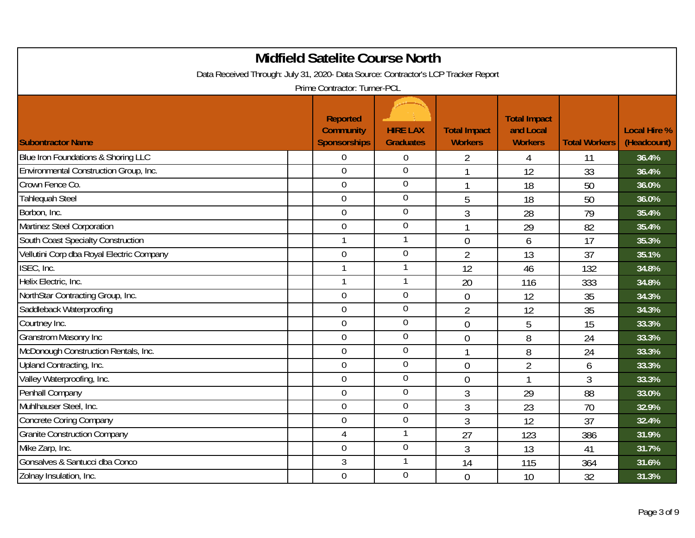| <b>Midfield Satelite Course North</b><br>Data Received Through: July 31, 2020- Data Source: Contractor's LCP Tracker Report |  |                                                     |                                     |                                       |                                                    |                      |                                    |  |  |  |
|-----------------------------------------------------------------------------------------------------------------------------|--|-----------------------------------------------------|-------------------------------------|---------------------------------------|----------------------------------------------------|----------------------|------------------------------------|--|--|--|
| Prime Contractor: Turner-PCL                                                                                                |  |                                                     |                                     |                                       |                                                    |                      |                                    |  |  |  |
| <b>Subontractor Name</b>                                                                                                    |  | Reported<br><b>Community</b><br><b>Sponsorships</b> | <b>HIRE LAX</b><br><b>Graduates</b> | <b>Total Impact</b><br><b>Workers</b> | <b>Total Impact</b><br>and Local<br><b>Workers</b> | <b>Total Workers</b> | <b>Local Hire %</b><br>(Headcount) |  |  |  |
| Blue Iron Foundations & Shoring LLC                                                                                         |  | 0                                                   | 0                                   | 2                                     | 4                                                  | 11                   | 36.4%                              |  |  |  |
| Environmental Construction Group, Inc.                                                                                      |  | $\overline{0}$                                      | $\overline{0}$                      |                                       | 12                                                 | 33                   | 36.4%                              |  |  |  |
| Crown Fence Co.                                                                                                             |  | $\overline{0}$                                      | $\mathbf 0$                         |                                       | 18                                                 | 50                   | 36.0%                              |  |  |  |
| <b>Tahlequah Steel</b>                                                                                                      |  | $\mathbf 0$                                         | $\overline{0}$                      | 5                                     | 18                                                 | 50                   | 36.0%                              |  |  |  |
| Borbon, Inc.                                                                                                                |  | $\mathbf 0$                                         | $\overline{0}$                      | 3                                     | 28                                                 | 79                   | 35.4%                              |  |  |  |
| Martinez Steel Corporation                                                                                                  |  | $\overline{0}$                                      | $\mathbf 0$                         |                                       | 29                                                 | 82                   | 35.4%                              |  |  |  |
| South Coast Specialty Construction                                                                                          |  |                                                     |                                     | $\overline{0}$                        | 6                                                  | 17                   | 35.3%                              |  |  |  |
| Vellutini Corp dba Royal Electric Company                                                                                   |  | $\mathbf 0$                                         | $\overline{0}$                      | $\overline{2}$                        | 13                                                 | 37                   | 35.1%                              |  |  |  |
| ISEC, Inc.                                                                                                                  |  |                                                     | 1                                   | 12                                    | 46                                                 | 132                  | 34.8%                              |  |  |  |
| Helix Electric, Inc.                                                                                                        |  |                                                     | $\mathbf{1}$                        | 20                                    | 116                                                | 333                  | 34.8%                              |  |  |  |
| NorthStar Contracting Group, Inc.                                                                                           |  | $\mathbf 0$                                         | $\overline{0}$                      | $\overline{0}$                        | 12                                                 | 35                   | 34.3%                              |  |  |  |
| Saddleback Waterproofing                                                                                                    |  | $\overline{0}$                                      | $\mathbf 0$                         | $\overline{2}$                        | 12                                                 | 35                   | 34.3%                              |  |  |  |
| Courtney Inc.                                                                                                               |  | $\overline{0}$                                      | $\overline{0}$                      | $\overline{0}$                        | 5                                                  | 15                   | 33.3%                              |  |  |  |
| <b>Granstrom Masonry Inc</b>                                                                                                |  | $\overline{0}$                                      | $\overline{0}$                      | $\overline{0}$                        | 8                                                  | 24                   | 33.3%                              |  |  |  |
| McDonough Construction Rentals, Inc.                                                                                        |  | $\mathbf 0$                                         | $\overline{0}$                      | 1                                     | 8                                                  | 24                   | 33.3%                              |  |  |  |
| Upland Contracting, Inc.                                                                                                    |  | $\mathbf 0$                                         | $\boldsymbol{0}$                    | $\overline{0}$                        | $\overline{2}$                                     | 6                    | 33.3%                              |  |  |  |
| Valley Waterproofing, Inc.                                                                                                  |  | $\overline{0}$                                      | $\overline{0}$                      | $\overline{0}$                        |                                                    | 3                    | 33.3%                              |  |  |  |
| Penhall Company                                                                                                             |  | $\mathbf 0$                                         | $\mathbf 0$                         | 3                                     | 29                                                 | 88                   | 33.0%                              |  |  |  |
| Muhlhauser Steel, Inc.                                                                                                      |  | $\mathbf 0$                                         | $\overline{0}$                      | 3                                     | 23                                                 | 70                   | 32.9%                              |  |  |  |
| <b>Concrete Coring Company</b>                                                                                              |  | $\overline{0}$                                      | $\mathbf 0$                         | 3                                     | 12                                                 | 37                   | 32.4%                              |  |  |  |
| <b>Granite Construction Company</b>                                                                                         |  | $\overline{4}$                                      |                                     | 27                                    | 123                                                | 386                  | 31.9%                              |  |  |  |
| Mike Zarp, Inc.                                                                                                             |  | $\mathbf 0$                                         | $\mathbf 0$                         | 3                                     | 13                                                 | 41                   | 31.7%                              |  |  |  |
| Gonsalves & Santucci dba Conco                                                                                              |  | 3                                                   |                                     | 14                                    | 115                                                | 364                  | 31.6%                              |  |  |  |
| Zolnay Insulation, Inc.                                                                                                     |  | $\mathbf 0$                                         | $\mathbf 0$                         | $\overline{0}$                        | 10                                                 | 32                   | 31.3%                              |  |  |  |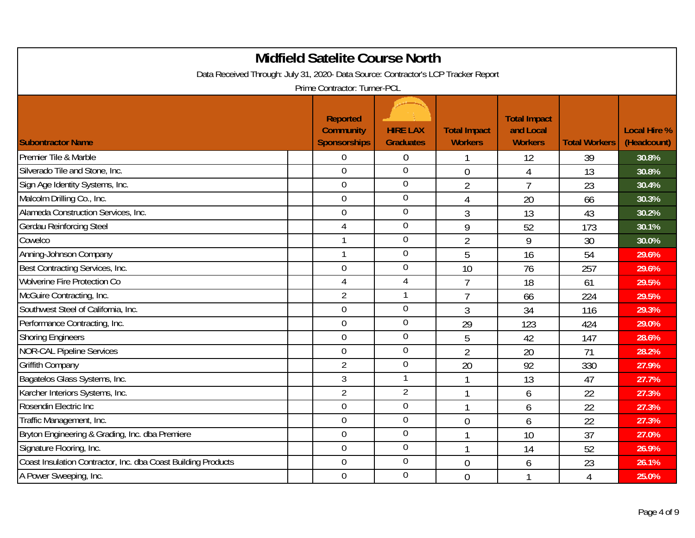| <b>Midfield Satelite Course North</b><br>Data Received Through: July 31, 2020- Data Source: Contractor's LCP Tracker Report<br>Prime Contractor: Turner-PCL |                                                     |                                     |                                       |                                                    |                      |                                    |  |  |  |  |
|-------------------------------------------------------------------------------------------------------------------------------------------------------------|-----------------------------------------------------|-------------------------------------|---------------------------------------|----------------------------------------------------|----------------------|------------------------------------|--|--|--|--|
| <b>Subontractor Name</b>                                                                                                                                    | Reported<br><b>Community</b><br><b>Sponsorships</b> | <b>HIRE LAX</b><br><b>Graduates</b> | <b>Total Impact</b><br><b>Workers</b> | <b>Total Impact</b><br>and Local<br><b>Workers</b> | <b>Total Workers</b> | <b>Local Hire %</b><br>(Headcount) |  |  |  |  |
| Premier Tile & Marble                                                                                                                                       | $\overline{0}$                                      | 0                                   |                                       | 12                                                 | 39                   | 30.8%                              |  |  |  |  |
| Silverado Tile and Stone, Inc.                                                                                                                              | $\overline{0}$                                      | $\overline{0}$                      | $\overline{0}$                        | $\overline{4}$                                     | 13                   | 30.8%                              |  |  |  |  |
| Sign Age Identity Systems, Inc.                                                                                                                             | $\mathbf 0$                                         | 0                                   | $\overline{2}$                        | $\overline{7}$                                     | 23                   | 30.4%                              |  |  |  |  |
| Malcolm Drilling Co., Inc.                                                                                                                                  | $\overline{0}$                                      | $\mathbf 0$                         | 4                                     | 20                                                 | 66                   | 30.3%                              |  |  |  |  |
| Alameda Construction Services, Inc.                                                                                                                         | $\mathbf 0$                                         | $\overline{0}$                      | 3                                     | 13                                                 | 43                   | 30.2%                              |  |  |  |  |
| <b>Gerdau Reinforcing Steel</b>                                                                                                                             | $\overline{4}$                                      | $\overline{0}$                      | 9                                     | 52                                                 | 173                  | 30.1%                              |  |  |  |  |
| Cowelco                                                                                                                                                     | $\mathbf{1}$                                        | $\overline{0}$                      | $\overline{2}$                        | 9                                                  | 30                   | 30.0%                              |  |  |  |  |
| Anning-Johnson Company                                                                                                                                      | $\mathbf{1}$                                        | $\overline{0}$                      | 5                                     | 16                                                 | 54                   | 29.6%                              |  |  |  |  |
| Best Contracting Services, Inc.                                                                                                                             | $\mathbf 0$                                         | 0                                   | 10                                    | 76                                                 | 257                  | 29.6%                              |  |  |  |  |
| Wolverine Fire Protection Co                                                                                                                                | $\overline{4}$                                      | $\overline{4}$                      | $\overline{7}$                        | 18                                                 | 61                   | 29.5%                              |  |  |  |  |
| McGuire Contracting, Inc.                                                                                                                                   | $\overline{2}$                                      | 1                                   | $\overline{7}$                        | 66                                                 | 224                  | 29.5%                              |  |  |  |  |
| Southwest Steel of California, Inc.                                                                                                                         | $\overline{0}$                                      | $\overline{0}$                      | 3                                     | 34                                                 | 116                  | 29.3%                              |  |  |  |  |
| Performance Contracting, Inc.                                                                                                                               | $\overline{0}$                                      | $\overline{0}$                      | 29                                    | 123                                                | 424                  | 29.0%                              |  |  |  |  |
| <b>Shoring Engineers</b>                                                                                                                                    | $\overline{0}$                                      | $\mathbf 0$                         | 5                                     | 42                                                 | 147                  | 28.6%                              |  |  |  |  |
| <b>NOR-CAL Pipeline Services</b>                                                                                                                            | $\overline{0}$                                      | 0                                   | $\overline{2}$                        | 20                                                 | 71                   | 28.2%                              |  |  |  |  |
| <b>Griffith Company</b>                                                                                                                                     | $\overline{2}$                                      | $\overline{0}$                      | 20                                    | 92                                                 | 330                  | 27.9%                              |  |  |  |  |
| Bagatelos Glass Systems, Inc.                                                                                                                               | $\mathfrak{Z}$                                      | 1                                   | $\mathbf{1}$                          | 13                                                 | 47                   | 27.7%                              |  |  |  |  |
| Karcher Interiors Systems, Inc.                                                                                                                             | $\overline{2}$                                      | $\overline{2}$                      | 1                                     | 6                                                  | 22                   | 27.3%                              |  |  |  |  |
| Rosendin Electric Inc                                                                                                                                       | $\overline{0}$                                      | $\overline{0}$                      | $\mathbf{1}$                          | 6                                                  | 22                   | 27.3%                              |  |  |  |  |
| Traffic Management, Inc.                                                                                                                                    | $\mathbf 0$                                         | $\mathbf 0$                         | $\overline{0}$                        | 6                                                  | 22                   | 27.3%                              |  |  |  |  |
| Bryton Engineering & Grading, Inc. dba Premiere                                                                                                             | $\mathbf 0$                                         | $\mathbf 0$                         | 1                                     | 10                                                 | 37                   | 27.0%                              |  |  |  |  |
| Signature Flooring, Inc.                                                                                                                                    | $\overline{0}$                                      | $\overline{0}$                      | $\mathbf{1}$                          | 14                                                 | 52                   | 26.9%                              |  |  |  |  |
| Coast Insulation Contractor, Inc. dba Coast Building Products                                                                                               | $\overline{0}$                                      | 0                                   | $\overline{0}$                        | 6                                                  | 23                   | 26.1%                              |  |  |  |  |
| A Power Sweeping, Inc.                                                                                                                                      | $\overline{0}$                                      | 0                                   | $\overline{0}$                        | -1                                                 | 4                    | 25.0%                              |  |  |  |  |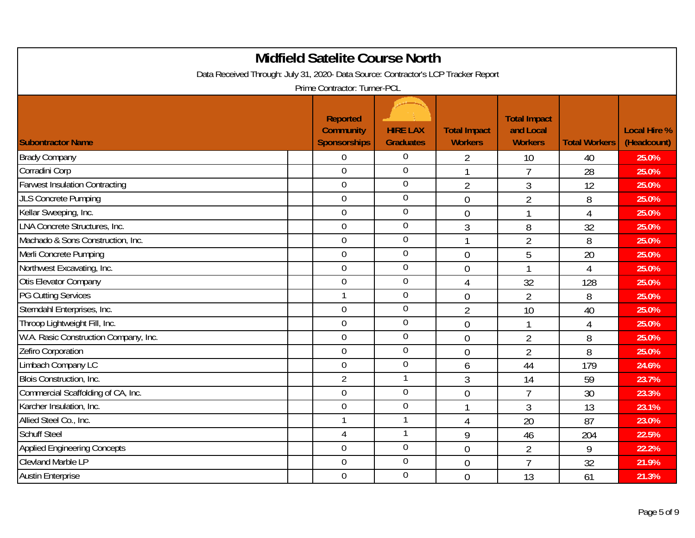| <b>Midfield Satelite Course North</b><br>Data Received Through: July 31, 2020- Data Source: Contractor's LCP Tracker Report<br>Prime Contractor: Turner-PCL |  |                                                     |                                     |                                       |                                                    |                      |                                    |  |  |  |
|-------------------------------------------------------------------------------------------------------------------------------------------------------------|--|-----------------------------------------------------|-------------------------------------|---------------------------------------|----------------------------------------------------|----------------------|------------------------------------|--|--|--|
| <b>Subontractor Name</b>                                                                                                                                    |  | Reported<br><b>Community</b><br><b>Sponsorships</b> | <b>HIRE LAX</b><br><b>Graduates</b> | <b>Total Impact</b><br><b>Workers</b> | <b>Total Impact</b><br>and Local<br><b>Workers</b> | <b>Total Workers</b> | <b>Local Hire %</b><br>(Headcount) |  |  |  |
| <b>Brady Company</b>                                                                                                                                        |  | $\overline{0}$                                      | $\overline{0}$                      | 2                                     | 10                                                 | 40                   | 25.0%                              |  |  |  |
| Corradini Corp                                                                                                                                              |  | $\overline{0}$                                      | $\overline{0}$                      | $\mathbf{1}$                          | $\overline{7}$                                     | 28                   | 25.0%                              |  |  |  |
| <b>Farwest Insulation Contracting</b>                                                                                                                       |  | $\overline{0}$                                      | $\mathbf 0$                         | $\overline{2}$                        | 3                                                  | 12                   | 25.0%                              |  |  |  |
| <b>JLS Concrete Pumping</b>                                                                                                                                 |  | $\mathbf 0$                                         | $\mathbf 0$                         | $\overline{0}$                        | $\overline{2}$                                     | 8                    | 25.0%                              |  |  |  |
| Kellar Sweeping, Inc.                                                                                                                                       |  | $\mathbf 0$                                         | $\mathbf 0$                         | $\overline{0}$                        | 1                                                  | $\overline{4}$       | 25.0%                              |  |  |  |
| <b>LNA Concrete Structures, Inc.</b>                                                                                                                        |  | $\mathbf 0$                                         | $\mathbf 0$                         | 3                                     | 8                                                  | 32                   | 25.0%                              |  |  |  |
| Machado & Sons Construction, Inc.                                                                                                                           |  | $\overline{0}$                                      | $\mathbf 0$                         | 1                                     | $\overline{2}$                                     | 8                    | 25.0%                              |  |  |  |
| Merli Concrete Pumping                                                                                                                                      |  | $\mathbf 0$                                         | $\mathbf 0$                         | $\overline{0}$                        | 5                                                  | 20                   | 25.0%                              |  |  |  |
| Northwest Excavating, Inc.                                                                                                                                  |  | $\mathbf 0$                                         | $\mathbf 0$                         | $\overline{0}$                        |                                                    | $\overline{4}$       | 25.0%                              |  |  |  |
| Otis Elevator Company                                                                                                                                       |  | $\overline{0}$                                      | $\overline{0}$                      | $\overline{4}$                        | 32                                                 | 128                  | 25.0%                              |  |  |  |
| <b>PG Cutting Services</b>                                                                                                                                  |  | 1                                                   | $\mathbf 0$                         | $\overline{0}$                        | $\overline{2}$                                     | 8                    | 25.0%                              |  |  |  |
| Sterndahl Enterprises, Inc.                                                                                                                                 |  | $\mathbf 0$                                         | $\mathbf 0$                         | $\overline{2}$                        | 10                                                 | 40                   | 25.0%                              |  |  |  |
| Throop Lightweight Fill, Inc.                                                                                                                               |  | $\overline{0}$                                      | $\mathbf 0$                         | $\overline{0}$                        |                                                    | $\overline{4}$       | 25.0%                              |  |  |  |
| W.A. Rasic Construction Company, Inc.                                                                                                                       |  | $\overline{0}$                                      | $\overline{0}$                      | $\overline{0}$                        | $\overline{2}$                                     | 8                    | 25.0%                              |  |  |  |
| Zefiro Corporation                                                                                                                                          |  | $\overline{0}$                                      | $\mathbf 0$                         | $\overline{0}$                        | $\overline{2}$                                     | 8                    | 25.0%                              |  |  |  |
| Limbach Company LC                                                                                                                                          |  | $\mathbf 0$                                         | $\boldsymbol{0}$                    | 6                                     | 44                                                 | 179                  | 24.6%                              |  |  |  |
| Blois Construction, Inc.                                                                                                                                    |  | $\overline{2}$                                      | 1                                   | 3                                     | 14                                                 | 59                   | 23.7%                              |  |  |  |
| Commercial Scaffolding of CA, Inc.                                                                                                                          |  | $\overline{0}$                                      | $\mathbf 0$                         | $\overline{0}$                        | $\overline{7}$                                     | 30                   | 23.3%                              |  |  |  |
| Karcher Insulation, Inc.                                                                                                                                    |  | $\overline{0}$                                      | $\mathbf 0$                         | 1                                     | 3                                                  | 13                   | 23.1%                              |  |  |  |
| Allied Steel Co., Inc.                                                                                                                                      |  |                                                     | 1                                   | 4                                     | 20                                                 | 87                   | 23.0%                              |  |  |  |
| <b>Schuff Steel</b>                                                                                                                                         |  | $\overline{4}$                                      | 1                                   | 9                                     | 46                                                 | 204                  | 22.5%                              |  |  |  |
| <b>Applied Engineering Concepts</b>                                                                                                                         |  | $\mathbf 0$                                         | $\boldsymbol{0}$                    | $\overline{0}$                        | $\overline{2}$                                     | 9                    | 22.2%                              |  |  |  |
| <b>Clevland Marble LP</b>                                                                                                                                   |  | $\overline{0}$                                      | $\mathbf 0$                         | $\overline{0}$                        | $\overline{7}$                                     | 32                   | 21.9%                              |  |  |  |
| <b>Austin Enterprise</b>                                                                                                                                    |  | $\mathbf 0$                                         | $\mathbf 0$                         | $\overline{0}$                        | 13                                                 | 61                   | 21.3%                              |  |  |  |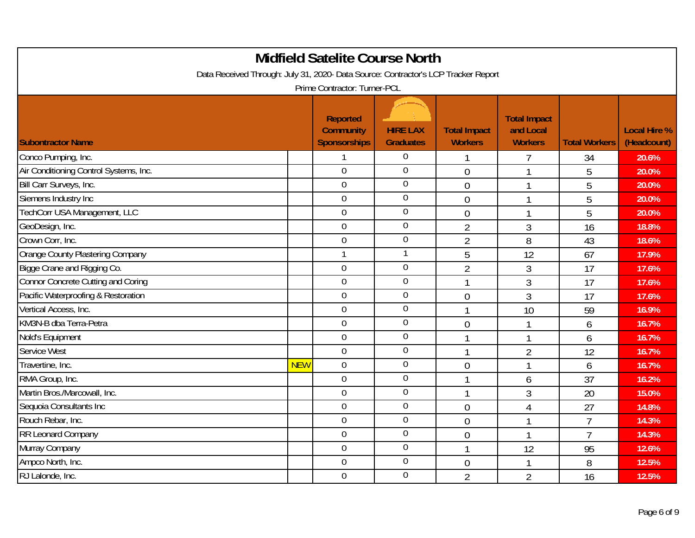| <b>Midfield Satelite Course North</b><br>Data Received Through: July 31, 2020- Data Source: Contractor's LCP Tracker Report<br>Prime Contractor: Turner-PCL |            |                                                     |                                     |                                       |                                                    |                      |                                    |  |  |
|-------------------------------------------------------------------------------------------------------------------------------------------------------------|------------|-----------------------------------------------------|-------------------------------------|---------------------------------------|----------------------------------------------------|----------------------|------------------------------------|--|--|
| <b>Subontractor Name</b>                                                                                                                                    |            | Reported<br><b>Community</b><br><b>Sponsorships</b> | <b>HIRE LAX</b><br><b>Graduates</b> | <b>Total Impact</b><br><b>Workers</b> | <b>Total Impact</b><br>and Local<br><b>Workers</b> | <b>Total Workers</b> | <b>Local Hire %</b><br>(Headcount) |  |  |
| Conco Pumping, Inc.                                                                                                                                         |            |                                                     | $\overline{0}$                      |                                       |                                                    | 34                   | 20.6%                              |  |  |
| Air Conditioning Control Systems, Inc.                                                                                                                      |            | $\overline{0}$                                      | $\overline{0}$                      | $\overline{0}$                        |                                                    | 5                    | 20.0%                              |  |  |
| Bill Carr Surveys, Inc.                                                                                                                                     |            | $\overline{0}$                                      | $\mathbf 0$                         | $\overline{0}$                        | 1                                                  | 5                    | 20.0%                              |  |  |
| Siemens Industry Inc                                                                                                                                        |            | $\mathbf 0$                                         | $\mathbf 0$                         | $\overline{0}$                        | 1                                                  | 5                    | 20.0%                              |  |  |
| TechCorr USA Management, LLC                                                                                                                                |            | $\mathbf 0$                                         | $\mathbf 0$                         | $\overline{0}$                        | 1                                                  | 5                    | 20.0%                              |  |  |
| GeoDesign, Inc.                                                                                                                                             |            | $\mathbf 0$                                         | $\mathbf 0$                         | $\overline{2}$                        | 3                                                  | 16                   | 18.8%                              |  |  |
| Crown Corr, Inc.                                                                                                                                            |            | $\overline{0}$                                      | $\mathbf 0$                         | $\overline{2}$                        | 8                                                  | 43                   | 18.6%                              |  |  |
| <b>Orange County Plastering Company</b>                                                                                                                     |            | $\mathbf{1}$                                        | $\mathbf{1}$                        | 5                                     | 12                                                 | 67                   | 17.9%                              |  |  |
| Bigge Crane and Rigging Co.                                                                                                                                 |            | $\mathbf 0$                                         | $\mathbf 0$                         | $\overline{2}$                        | 3                                                  | 17                   | 17.6%                              |  |  |
| <b>Connor Concrete Cutting and Coring</b>                                                                                                                   |            | $\overline{0}$                                      | $\boldsymbol{0}$                    | 1                                     | 3                                                  | 17                   | 17.6%                              |  |  |
| Pacific Waterproofing & Restoration                                                                                                                         |            | $\mathbf 0$                                         | $\mathbf 0$                         | $\overline{0}$                        | $\overline{3}$                                     | 17                   | 17.6%                              |  |  |
| Vertical Access, Inc.                                                                                                                                       |            | $\mathbf 0$                                         | $\mathbf 0$                         | 1                                     | 10                                                 | 59                   | 16.9%                              |  |  |
| KM3N-B dba Terra-Petra                                                                                                                                      |            | $\overline{0}$                                      | $\mathbf 0$                         | $\overline{0}$                        |                                                    | 6                    | 16.7%                              |  |  |
| Nold's Equipment                                                                                                                                            |            | $\mathbf 0$                                         | $\overline{0}$                      | 1                                     | 1                                                  | 6                    | 16.7%                              |  |  |
| Service West                                                                                                                                                |            | $\overline{0}$                                      | $\mathbf 0$                         | $\mathbf{1}$                          | $\overline{2}$                                     | 12                   | 16.7%                              |  |  |
| Travertine, Inc.                                                                                                                                            | <b>NEW</b> | $\overline{0}$                                      | $\boldsymbol{0}$                    | $\overline{0}$                        | 1                                                  | 6                    | 16.7%                              |  |  |
| RMA Group, Inc.                                                                                                                                             |            | $\mathbf 0$                                         | $\overline{0}$                      | 1                                     | 6                                                  | 37                   | 16.2%                              |  |  |
| Martin Bros./Marcowall, Inc.                                                                                                                                |            | $\mathbf 0$                                         | $\mathbf 0$                         | $\mathbf{1}$                          | 3                                                  | 20                   | 15.0%                              |  |  |
| Sequoia Consultants Inc                                                                                                                                     |            | $\overline{0}$                                      | $\mathbf 0$                         | $\overline{0}$                        | 4                                                  | 27                   | 14.8%                              |  |  |
| Rouch Rebar, Inc.                                                                                                                                           |            | $\overline{0}$                                      | $\mathbf 0$                         | $\overline{0}$                        |                                                    | $\overline{7}$       | 14.3%                              |  |  |
| RR Leonard Company                                                                                                                                          |            | $\mathbf 0$                                         | $\overline{0}$                      | $\overline{0}$                        | 1                                                  | $\overline{7}$       | 14.3%                              |  |  |
| Murray Company                                                                                                                                              |            | $\mathbf 0$                                         | $\boldsymbol{0}$                    | $\mathbf{1}$                          | 12                                                 | 95                   | 12.6%                              |  |  |
| Ampco North, Inc.                                                                                                                                           |            | $\overline{0}$                                      | $\mathbf 0$                         | $\overline{0}$                        |                                                    | 8                    | 12.5%                              |  |  |
| RJ Lalonde, Inc.                                                                                                                                            |            | $\mathbf 0$                                         | $\mathbf 0$                         | $\overline{2}$                        | $\overline{2}$                                     | 16                   | 12.5%                              |  |  |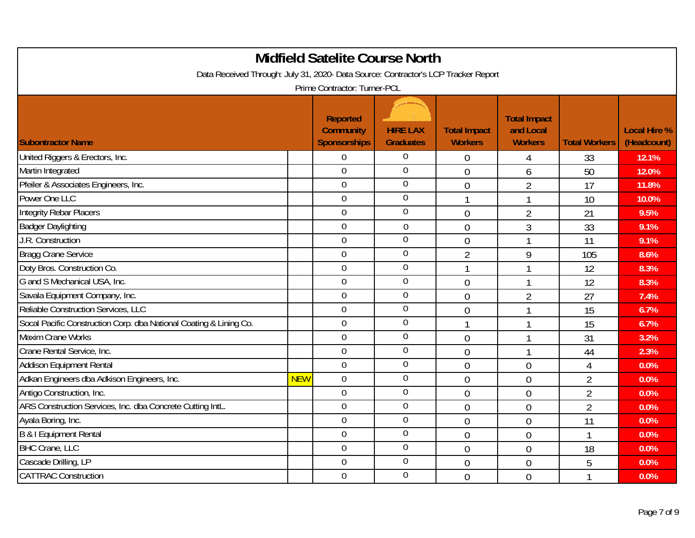| <b>Midfield Satelite Course North</b><br>Data Received Through: July 31, 2020- Data Source: Contractor's LCP Tracker Report<br>Prime Contractor: Turner-PCL |            |                                                            |                                     |                                       |                                                    |                      |                                    |  |  |
|-------------------------------------------------------------------------------------------------------------------------------------------------------------|------------|------------------------------------------------------------|-------------------------------------|---------------------------------------|----------------------------------------------------|----------------------|------------------------------------|--|--|
| <b>Subontractor Name</b>                                                                                                                                    |            | <b>Reported</b><br><b>Community</b><br><b>Sponsorships</b> | <b>HIRE LAX</b><br><b>Graduates</b> | <b>Total Impact</b><br><b>Workers</b> | <b>Total Impact</b><br>and Local<br><b>Workers</b> | <b>Total Workers</b> | <b>Local Hire %</b><br>(Headcount) |  |  |
| United Riggers & Erectors, Inc.                                                                                                                             |            | $\mathbf 0$                                                | $\Omega$                            | $\overline{0}$                        | 4                                                  | 33                   | 12.1%                              |  |  |
| Martin Integrated                                                                                                                                           |            | $\overline{0}$                                             | $\mathbf 0$                         | $\overline{0}$                        | 6                                                  | 50                   | 12.0%                              |  |  |
| Pfeiler & Associates Engineers, Inc.                                                                                                                        |            | $\overline{0}$                                             | $\overline{0}$                      | $\overline{0}$                        | $\overline{2}$                                     | 17                   | 11.8%                              |  |  |
| Power One LLC                                                                                                                                               |            | $\mathbf 0$                                                | $\mathbf 0$                         | -1                                    | 1                                                  | 10                   | 10.0%                              |  |  |
| <b>Integrity Rebar Placers</b>                                                                                                                              |            | $\mathbf 0$                                                | $\mathbf 0$                         | $\overline{0}$                        | $\overline{2}$                                     | 21                   | 9.5%                               |  |  |
| <b>Badger Daylighting</b>                                                                                                                                   |            | $\overline{0}$                                             | $\mathbf 0$                         | $\overline{0}$                        | 3                                                  | 33                   | 9.1%                               |  |  |
| J.R. Construction                                                                                                                                           |            | $\overline{0}$                                             | $\mathbf 0$                         | $\overline{0}$                        |                                                    | 11                   | 9.1%                               |  |  |
| <b>Bragg Crane Service</b>                                                                                                                                  |            | $\mathbf 0$                                                | $\mathbf 0$                         | $\overline{2}$                        | 9                                                  | 105                  | 8.6%                               |  |  |
| Doty Bros. Construction Co.                                                                                                                                 |            | $\mathbf 0$                                                | $\overline{0}$                      | 1                                     |                                                    | 12                   | 8.3%                               |  |  |
| G and S Mechanical USA, Inc.                                                                                                                                |            | $\overline{0}$                                             | $\mathbf 0$                         | $\overline{0}$                        | 1                                                  | 12                   | 8.3%                               |  |  |
| Savala Equipment Company, Inc.                                                                                                                              |            | $\mathbf 0$                                                | $\mathbf 0$                         | $\overline{0}$                        | $\overline{2}$                                     | 27                   | 7.4%                               |  |  |
| Reliable Construction Services, LLC                                                                                                                         |            | $\mathbf 0$                                                | $\overline{0}$                      | $\overline{0}$                        |                                                    | 15                   | 6.7%                               |  |  |
| Socal Pacific Construction Corp. dba National Coating & Lining Co.                                                                                          |            | $\overline{0}$                                             | $\mathbf 0$                         |                                       |                                                    | 15                   | 6.7%                               |  |  |
| Maxim Crane Works                                                                                                                                           |            | $\mathbf 0$                                                | $\overline{0}$                      | $\overline{0}$                        |                                                    | 31                   | 3.2%                               |  |  |
| Crane Rental Service, Inc.                                                                                                                                  |            | $\overline{0}$                                             | $\mathbf 0$                         | $\overline{0}$                        | 1                                                  | 44                   | 2.3%                               |  |  |
| Addison Equipment Rental                                                                                                                                    |            | $\overline{0}$                                             | $\boldsymbol{0}$                    | $\overline{0}$                        | $\overline{0}$                                     | $\overline{4}$       | 0.0%                               |  |  |
| Adkan Engineers dba Adkison Engineers, Inc.                                                                                                                 | <b>NEW</b> | $\mathbf 0$                                                | $\overline{0}$                      | $\overline{0}$                        | $\overline{0}$                                     | $\overline{2}$       | 0.0%                               |  |  |
| Antigo Construction, Inc.                                                                                                                                   |            | $\overline{0}$                                             | $\overline{0}$                      | $\overline{0}$                        | $\overline{0}$                                     | $\overline{2}$       | 0.0%                               |  |  |
| ARS Construction Services, Inc. dba Concrete Cutting IntL.                                                                                                  |            | $\overline{0}$                                             | $\mathbf 0$                         | $\overline{0}$                        | $\overline{0}$                                     | $\overline{2}$       | 0.0%                               |  |  |
| Ayala Boring, Inc.                                                                                                                                          |            | $\overline{0}$                                             | 0                                   | $\overline{0}$                        | $\overline{0}$                                     | 11                   | 0.0%                               |  |  |
| <b>B &amp; I Equipment Rental</b>                                                                                                                           |            | $\mathbf 0$                                                | $\overline{0}$                      | $\overline{0}$                        | $\overline{0}$                                     | $\mathbf{1}$         | 0.0%                               |  |  |
| <b>BHC Crane, LLC</b>                                                                                                                                       |            | $\mathbf 0$                                                | $\boldsymbol{0}$                    | $\overline{0}$                        | $\overline{0}$                                     | 18                   | 0.0%                               |  |  |
| Cascade Drilling, LP                                                                                                                                        |            | $\overline{0}$                                             | 0                                   | $\overline{0}$                        | $\overline{0}$                                     | 5                    | 0.0%                               |  |  |
| <b>CATTRAC Construction</b>                                                                                                                                 |            | $\mathbf 0$                                                | $\mathbf 0$                         | $\overline{0}$                        | $\theta$                                           |                      | 0.0%                               |  |  |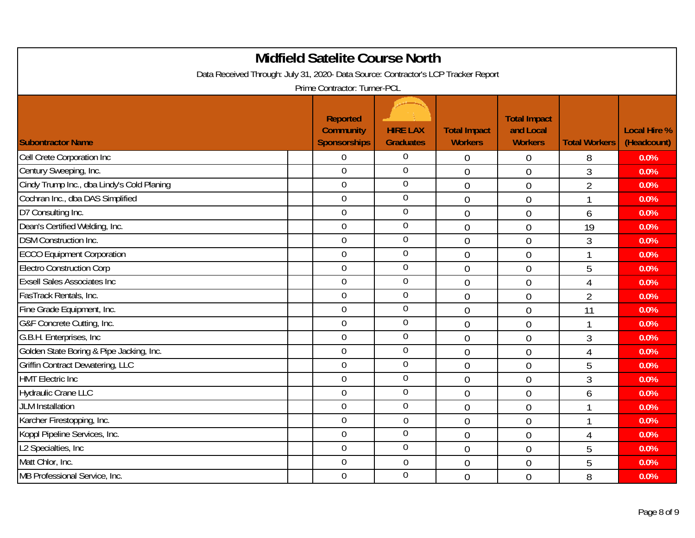| <b>Midfield Satelite Course North</b><br>Data Received Through: July 31, 2020- Data Source: Contractor's LCP Tracker Report |  |                                                            |                                     |                                       |                                                    |                      |                                    |  |  |  |
|-----------------------------------------------------------------------------------------------------------------------------|--|------------------------------------------------------------|-------------------------------------|---------------------------------------|----------------------------------------------------|----------------------|------------------------------------|--|--|--|
| Prime Contractor: Turner-PCL                                                                                                |  |                                                            |                                     |                                       |                                                    |                      |                                    |  |  |  |
| <b>Subontractor Name</b>                                                                                                    |  | <b>Reported</b><br><b>Community</b><br><b>Sponsorships</b> | <b>HIRE LAX</b><br><b>Graduates</b> | <b>Total Impact</b><br><b>Workers</b> | <b>Total Impact</b><br>and Local<br><b>Workers</b> | <b>Total Workers</b> | <b>Local Hire %</b><br>(Headcount) |  |  |  |
| Cell Crete Corporation Inc                                                                                                  |  | $\overline{0}$                                             | $\theta$                            | $\overline{0}$                        | $\overline{0}$                                     | 8                    | 0.0%                               |  |  |  |
| Century Sweeping, Inc.                                                                                                      |  | $\mathbf 0$                                                | $\overline{0}$                      | $\overline{0}$                        | $\overline{0}$                                     | 3                    | 0.0%                               |  |  |  |
| Cindy Trump Inc., dba Lindy's Cold Planing                                                                                  |  | $\overline{0}$                                             | $\overline{0}$                      | $\mathbf 0$                           | $\mathbf 0$                                        | $\overline{2}$       | 0.0%                               |  |  |  |
| Cochran Inc., dba DAS Simplified                                                                                            |  | $\overline{0}$                                             | $\overline{0}$                      | $\overline{0}$                        | $\overline{0}$                                     | 1                    | 0.0%                               |  |  |  |
| D7 Consulting Inc.                                                                                                          |  | $\mathbf 0$                                                | $\overline{0}$                      | $\overline{0}$                        | $\overline{0}$                                     | 6                    | 0.0%                               |  |  |  |
| Dean's Certified Welding, Inc.                                                                                              |  | $\overline{0}$                                             | $\overline{0}$                      | $\mathbf 0$                           | $\mathbf 0$                                        | 19                   | 0.0%                               |  |  |  |
| <b>DSM Construction Inc.</b>                                                                                                |  | $\overline{0}$                                             | $\overline{0}$                      | $\overline{0}$                        | $\overline{0}$                                     | 3                    | 0.0%                               |  |  |  |
| <b>ECCO Equipment Corporation</b>                                                                                           |  | $\mathbf 0$                                                | $\overline{0}$                      | $\overline{0}$                        | $\overline{0}$                                     | $\mathbf{1}$         | 0.0%                               |  |  |  |
| <b>Electro Construction Corp</b>                                                                                            |  | $\mathbf 0$                                                | $\overline{0}$                      | $\theta$                              | $\mathbf 0$                                        | 5                    | 0.0%                               |  |  |  |
| <b>Exsell Sales Associates Inc.</b>                                                                                         |  | $\overline{0}$                                             | $\overline{0}$                      | $\overline{0}$                        | $\overline{0}$                                     | 4                    | 0.0%                               |  |  |  |
| FasTrack Rentals, Inc.                                                                                                      |  | $\mathbf 0$                                                | $\overline{0}$                      | $\overline{0}$                        | $\overline{0}$                                     | $\overline{2}$       | 0.0%                               |  |  |  |
| Fine Grade Equipment, Inc.                                                                                                  |  | $\overline{0}$                                             | $\overline{0}$                      | $\mathbf 0$                           | $\mathbf 0$                                        | 11                   | 0.0%                               |  |  |  |
| G&F Concrete Cutting, Inc.                                                                                                  |  | $\overline{0}$                                             | $\overline{0}$                      | $\overline{0}$                        | $\overline{0}$                                     | 1                    | 0.0%                               |  |  |  |
| G.B.H. Enterprises, Inc.                                                                                                    |  | $\overline{0}$                                             | $\overline{0}$                      | $\overline{0}$                        | $\overline{0}$                                     | 3                    | 0.0%                               |  |  |  |
| Golden State Boring & Pipe Jacking, Inc.                                                                                    |  | $\mathbf 0$                                                | $\overline{0}$                      | $\mathbf 0$                           | $\mathbf 0$                                        | $\overline{4}$       | 0.0%                               |  |  |  |
| <b>Griffin Contract Dewatering, LLC</b>                                                                                     |  | $\mathbf 0$                                                | $\overline{0}$                      | $\theta$                              | $\theta$                                           | 5                    | 0.0%                               |  |  |  |
| <b>HMT Electric Inc</b>                                                                                                     |  | $\overline{0}$                                             | 0                                   | $\overline{0}$                        | $\overline{0}$                                     | 3                    | 0.0%                               |  |  |  |
| <b>Hydraulic Crane LLC</b>                                                                                                  |  | $\mathbf 0$                                                | $\overline{0}$                      | $\overline{0}$                        | $\overline{0}$                                     | 6                    | 0.0%                               |  |  |  |
| <b>JLM</b> Installation                                                                                                     |  | $\mathbf 0$                                                | $\overline{0}$                      | $\overline{0}$                        | $\overline{0}$                                     | 1                    | 0.0%                               |  |  |  |
| Karcher Firestopping, Inc.                                                                                                  |  | $\overline{0}$                                             | $\mathbf 0$                         | $\overline{0}$                        | $\mathbf 0$                                        | $\mathbf{1}$         | 0.0%                               |  |  |  |
| Koppl Pipeline Services, Inc.                                                                                               |  | $\mathbf 0$                                                | $\overline{0}$                      | $\overline{0}$                        | $\overline{0}$                                     | $\overline{4}$       | 0.0%                               |  |  |  |
| L2 Specialties, Inc                                                                                                         |  | $\mathbf 0$                                                | $\overline{0}$                      | $\mathbf 0$                           | $\overline{0}$                                     | 5                    | 0.0%                               |  |  |  |
| Matt Chlor, Inc.                                                                                                            |  | $\overline{0}$                                             | $\overline{0}$                      | $\overline{0}$                        | $\overline{0}$                                     | 5                    | 0.0%                               |  |  |  |
| MB Professional Service, Inc.                                                                                               |  | $\mathbf 0$                                                | $\overline{0}$                      | $\overline{0}$                        | $\overline{0}$                                     | 8                    | 0.0%                               |  |  |  |